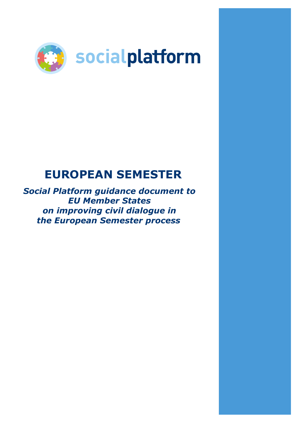

# **EUROPEAN SEMESTER**

*Social Platform guidance document to EU Member States on improving civil dialogue in the European Semester process*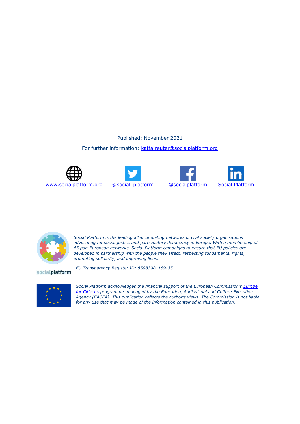### Published: November 2021

#### For further information: [katja.reuter@socialplatform.org](mailto:katja.reuter@socialplatform.org)





*EU Transparency Register ID: 85083981189-35*







*Social Platform is the leading alliance uniting networks of civil society organisations advocating for social justice and participatory democracy in Europe. With a membership of 45 pan-European networks, Social Platform campaigns to ensure that EU policies are developed in partnership with the people they affect, respecting fundamental rights, promoting solidarity, and improving lives.*

socialplatform

*Social Platform acknowledges the financial support of the European Commission's [Europe](http://eacea.ec.europa.eu/index_en.php)  [for Citizens](http://eacea.ec.europa.eu/index_en.php) programme, managed by the Education, Audiovisual and Culture Executive Agency (EACEA). This publication reflects the author's views. The Commission is not liable for any use that may be made of the information contained in this publication.*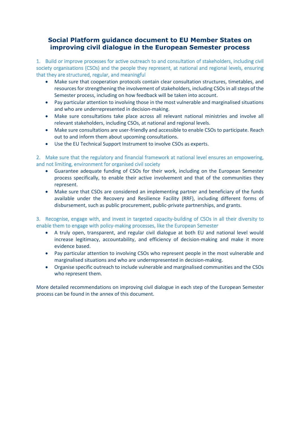# **Social Platform guidance document to EU Member States on improving civil dialogue in the European Semester process**

1. Build or improve processes for active outreach to and consultation of stakeholders, including civil society organisations (CSOs) and the people they represent, at national and regional levels, ensuring that they are structured, regular, and meaningful

- Make sure that cooperation protocols contain clear consultation structures, timetables, and resources for strengthening the involvement of stakeholders, including CSOs in all steps of the Semester process, including on how feedback will be taken into account.
- Pay particular attention to involving those in the most vulnerable and marginalised situations and who are underrepresented in decision-making.
- Make sure consultations take place across all relevant national ministries and involve all relevant stakeholders, including CSOs, at national and regional levels.
- Make sure consultations are user-friendly and accessible to enable CSOs to participate. Reach out to and inform them about upcoming consultations.
- Use the EU Technical Support Instrument to involve CSOs as experts.

2. Make sure that the regulatory and financial framework at national level ensures an empowering, and not limiting, environment for organised civil society

- Guarantee adequate funding of CSOs for their work, including on the European Semester process specifically, to enable their active involvement and that of the communities they represent.
- Make sure that CSOs are considered an implementing partner and beneficiary of the funds available under the Recovery and Resilience Facility (RRF), including different forms of disbursement, such as public procurement, public-private partnerships, and grants.

3. Recognise, engage with, and invest in targeted capacity-building of CSOs in all their diversity to enable them to engage with policy-making processes, like the European Semester

- A truly open, transparent, and regular civil dialogue at both EU and national level would increase legitimacy, accountability, and efficiency of decision-making and make it more evidence based.
- Pay particular attention to involving CSOs who represent people in the most vulnerable and marginalised situations and who are underrepresented in decision-making.
- Organise specific outreach to include vulnerable and marginalised communities and the CSOs who represent them.

More detailed recommendations on improving civil dialogue in each step of the European Semester process can be found in the annex of this document.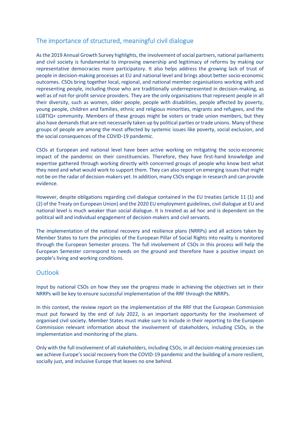# The importance of structured, meaningful civil dialogue

As the 2019 Annual Growth Survey highlights, the involvement of social partners, national parliaments and civil society is fundamental to improving ownership and legitimacy of reforms by making our representative democracies more participatory. It also helps address the growing lack of trust of people in decision-making processes at EU and national level and brings about better socio-economic outcomes. CSOs bring together local, regional, and national member organisations working with and representing people, including those who are traditionally underrepresented in decision-making, as well as of not-for-profit service providers. They are the only organisations that represent people in all their diversity, such as women, older people, people with disabilities, people affected by poverty, young people, children and families, ethnic and religious minorities, migrants and refugees, and the LGBTIQ+ community. Members of these groups might be voters or trade union members, but they also have demands that are not necessarily taken up by political parties or trade unions. Many of these groups of people are among the most affected by systemic issues like poverty, social exclusion, and the social consequences of the COVID-19 pandemic.

CSOs at European and national level have been active working on mitigating the socio-economic impact of the pandemic on their constituencies. Therefore, they have first-hand knowledge and expertise gathered through working directly with concerned groups of people who know best what they need and what would work to support them. They can also report on emerging issues that might not be on the radar of decision-makers yet. In addition, many CSOs engage in research and can provide evidence.

However, despite obligations regarding civil dialogue contained in the EU treaties (article 11 (1) and (2) of the Treaty on European Union) and the 2020 EU employment guidelines, civil dialogue at EU and national level is much weaker than social dialogue. It is treated as ad hoc and is dependent on the political will and individual engagement of decision-makers and civil servants.

The implementation of the national recovery and resilience plans (NRRPs) and all actions taken by Member States to turn the principles of the European Pillar of Social Rights into reality is monitored through the European Semester process. The full involvement of CSOs in this process will help the European Semester correspond to needs on the ground and therefore have a positive impact on people's living and working conditions.

# **Outlook**

Input by national CSOs on how they see the progress made in achieving the objectives set in their NRRPs will be key to ensure successful implementation of the RRF through the NRRPs.

In this context, the review report on the implementation of the RRF that the European Commission must put forward by the end of July 2022, is an important opportunity for the involvement of organised civil society. Member States must make sure to include in their reporting to the European Commission relevant information about the involvement of stakeholders, including CSOs, in the implementation and monitoring of the plans.

Only with the full involvement of all stakeholders, including CSOs, in all decision-making processes can we achieve Europe's social recovery from the COVID-19 pandemic and the building of a more resilient, socially just, and inclusive Europe that leaves no one behind.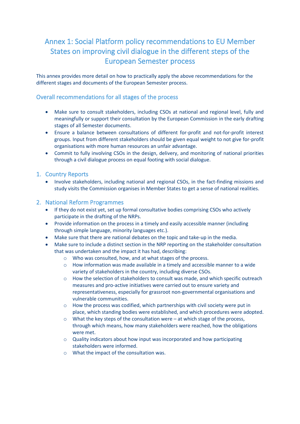# Annex 1: Social Platform policy recommendations to EU Member States on improving civil dialogue in the different steps of the European Semester process

This annex provides more detail on how to practically apply the above recommendations for the different stages and documents of the European Semester process.

## Overall recommendations for all stages of the process

- Make sure to consult stakeholders, including CSOs at national and regional level, fully and meaningfully or support their consultation by the European Commission in the early drafting stages of all Semester documents.
- Ensure a balance between consultations of different for-profit and not-for-profit interest groups. Input from different stakeholders should be given equal weight to not give for-profit organisations with more human resources an unfair advantage.
- Commit to fully involving CSOs in the design, delivery, and monitoring of national priorities through a civil dialogue process on equal footing with social dialogue.

### 1. Country Reports

• Involve stakeholders, including national and regional CSOs, in the fact-finding missions and study visits the Commission organises in Member States to get a sense of national realities.

### 2. National Reform Programmes

- If they do not exist yet, set up formal consultative bodies comprising CSOs who actively participate in the drafting of the NRPs.
- Provide information on the process in a timely and easily accessible manner (including through simple language, minority languages etc.).
- Make sure that there are national debates on the topic and take-up in the media.
- Make sure to include a distinct section in the NRP reporting on the stakeholder consultation that was undertaken and the impact it has had, describing:
	- o Who was consulted, how, and at what stages of the process.
	- $\circ$  How information was made available in a timely and accessible manner to a wide variety of stakeholders in the country, including diverse CSOs.
	- o How the selection of stakeholders to consult was made, and which specific outreach measures and pro-active initiatives were carried out to ensure variety and representativeness, especially for grassroot non-governmental organisations and vulnerable communities.
	- o How the process was codified, which partnerships with civil society were put in place, which standing bodies were established, and which procedures were adopted.
	- $\circ$  What the key steps of the consultation were at which stage of the process, through which means, how many stakeholders were reached, how the obligations were met.
	- $\circ$  Quality indicators about how input was incorporated and how participating stakeholders were informed.
	- o What the impact of the consultation was.